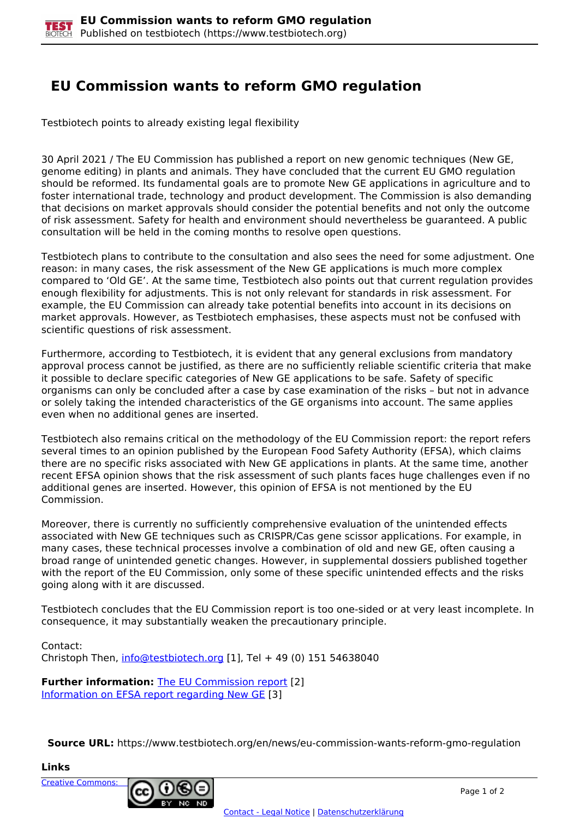## **EU Commission wants to reform GMO regulation**

Testbiotech points to already existing legal flexibility

30 April 2021 / The EU Commission has published a report on new genomic techniques (New GE, genome editing) in plants and animals. They have concluded that the current EU GMO regulation should be reformed. Its fundamental goals are to promote New GE applications in agriculture and to foster international trade, technology and product development. The Commission is also demanding that decisions on market approvals should consider the potential benefits and not only the outcome of risk assessment. Safety for health and environment should nevertheless be guaranteed. A public consultation will be held in the coming months to resolve open questions.

Testbiotech plans to contribute to the consultation and also sees the need for some adjustment. One reason: in many cases, the risk assessment of the New GE applications is much more complex compared to 'Old GE'. At the same time, Testbiotech also points out that current regulation provides enough flexibility for adjustments. This is not only relevant for standards in risk assessment. For example, the EU Commission can already take potential benefits into account in its decisions on market approvals. However, as Testbiotech emphasises, these aspects must not be confused with scientific questions of risk assessment.

Furthermore, according to Testbiotech, it is evident that any general exclusions from mandatory approval process cannot be justified, as there are no sufficiently reliable scientific criteria that make it possible to declare specific categories of New GE applications to be safe. Safety of specific organisms can only be concluded after a case by case examination of the risks – but not in advance or solely taking the intended characteristics of the GE organisms into account. The same applies even when no additional genes are inserted.

Testbiotech also remains critical on the methodology of the EU Commission report: the report refers several times to an opinion published by the European Food Safety Authority (EFSA), which claims there are no specific risks associated with New GE applications in plants. At the same time, another recent EFSA opinion shows that the risk assessment of such plants faces huge challenges even if no additional genes are inserted. However, this opinion of EFSA is not mentioned by the EU Commission.

Moreover, there is currently no sufficiently comprehensive evaluation of the unintended effects associated with New GE techniques such as CRISPR/Cas gene scissor applications. For example, in many cases, these technical processes involve a combination of old and new GE, often causing a broad range of unintended genetic changes. However, in supplemental dossiers published together with the report of the EU Commission, only some of these specific unintended effects and the risks going along with it are discussed.

Testbiotech concludes that the EU Commission report is too one-sided or at very least incomplete. In consequence, it may substantially weaken the precautionary principle.

Contact: Christoph Then, [info@testbiotech.org](mailto:info@testbiotech.org) [1], Tel + 49 (0) 151 54638040

**Further information: The EU Commission report [2]** Information on EFSA report regarding New GE [3]

**Source URL:** https://www.testbiotech.org/en/news/eu-commission-wants-reform-gmo-regulation

**Links**

Creative Commons: